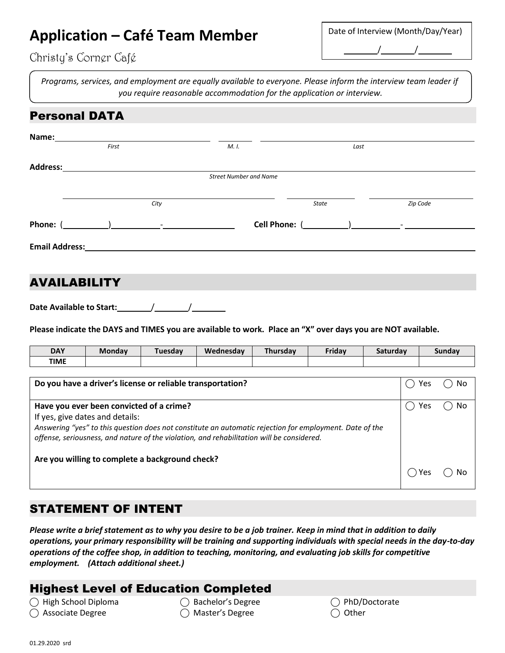# **Application – Café Team Member**

| Date of Interview (Month/Day/Year) |  |  |  |  |  |  |
|------------------------------------|--|--|--|--|--|--|
|                                    |  |  |  |  |  |  |

## Christy's Corner Café

*Programs, services, and employment are equally available to everyone. Please inform the interview team leader if you require reasonable accommodation for the application or interview.*

## Personal DATA

| Name:                 |      |                               |              |                          |
|-----------------------|------|-------------------------------|--------------|--------------------------|
| First                 |      | M. I.                         | Last         |                          |
| <b>Address:</b>       |      |                               |              |                          |
|                       |      | <b>Street Number and Name</b> |              |                          |
|                       |      |                               |              |                          |
|                       | City |                               | <b>State</b> | Zip Code                 |
| Phone: (              |      | Cell Phone: (                 |              | $\overline{\phantom{a}}$ |
| <b>Email Address:</b> |      |                               |              |                          |
|                       |      |                               |              |                          |
| AWA II<br>ADII ITV    |      |                               |              |                          |

#### AVAILABILI I T

**Date Available to Start:** / /

Please indicate the DAYS and TIMES you are available to work. Place an "X" over days you are NOT available.

| <b>DAY</b>  | <b>Monday</b> | iuesdav | Wednesday | Thursdav | Friday | saturday | Sunday |
|-------------|---------------|---------|-----------|----------|--------|----------|--------|
| <b>TIME</b> |               |         |           |          |        |          |        |

| Do you have a driver's license or reliable transportation?                                                                                                                                                                                                                          | Yes | Nc |
|-------------------------------------------------------------------------------------------------------------------------------------------------------------------------------------------------------------------------------------------------------------------------------------|-----|----|
| Have you ever been convicted of a crime?<br>If yes, give dates and details:<br>Answering "yes" to this question does not constitute an automatic rejection for employment. Date of the<br>offense, seriousness, and nature of the violation, and rehabilitation will be considered. | Yes | No |
| Are you willing to complete a background check?                                                                                                                                                                                                                                     | Υρς |    |

## STATEMENT OF INTENT

*Please write a brief statement as to why you desire to be a job trainer. Keep in mind that in addition to daily operations, your primary responsibility will be training and supporting individuals with special needs in the day-to-day operations of the coffee shop, in addition to teaching, monitoring, and evaluating job skills for competitive employment. (Attach additional sheet.)*

## Highest Level of Education Completed

◯ High School Diploma ◯ Bachelor's Degree ◯ PhD/Doctorate

- ◯ Associate Degree ◯ Master's Degree ◯ Other
- 
-